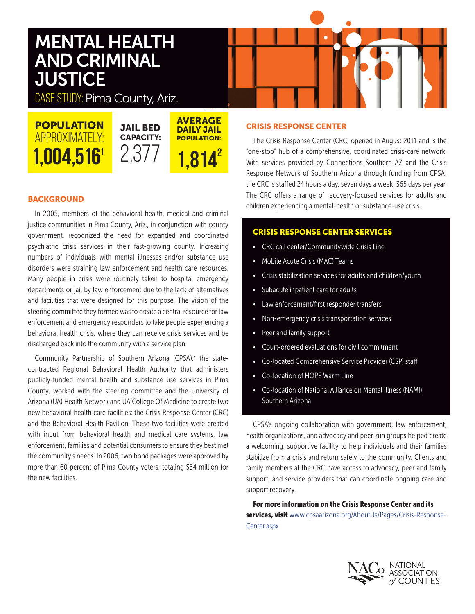# MENTAL HEALTH AND CRIMINAL **JUSTICE**

CASE STUDY: Pima County, Ariz.

**POPULATION** APPROXIMATELY:

JAIL BED CAPACITY: 2,377 **AVERAGE** DAILY JAIL POPULATION:  $1,004,516$ <sup>1</sup>  $2,3$  /  $1,814^2$ 

# **BACKGROUND**

In 2005, members of the behavioral health, medical and criminal justice communities in Pima County, Ariz., in conjunction with county government, recognized the need for expanded and coordinated psychiatric crisis services in their fast-growing county. Increasing numbers of individuals with mental illnesses and/or substance use disorders were straining law enforcement and health care resources. Many people in crisis were routinely taken to hospital emergency departments or jail by law enforcement due to the lack of alternatives and facilities that were designed for this purpose. The vision of the steering committee they formed was to create a central resource for law enforcement and emergency responders to take people experiencing a behavioral health crisis, where they can receive crisis services and be discharged back into the community with a service plan.

Community Partnership of Southern Arizona (CPSA),<sup>3</sup> the statecontracted Regional Behavioral Health Authority that administers publicly-funded mental health and substance use services in Pima County, worked with the steering committee and the University of Arizona (UA) Health Network and UA College Of Medicine to create two new behavioral health care facilities: the Crisis Response Center (CRC) and the Behavioral Health Pavilion. These two facilities were created with input from behavioral health and medical care systems, law enforcement, families and potential consumers to ensure they best met the community's needs. In 2006, two bond packages were approved by more than 60 percent of Pima County voters, totaling \$54 million for the new facilities.

## CRISIS RESPONSE CENTER

The Crisis Response Center (CRC) opened in August 2011 and is the "one-stop" hub of a comprehensive, coordinated crisis-care network. With services provided by Connections Southern AZ and the Crisis Response Network of Southern Arizona through funding from CPSA, the CRC is staffed 24 hours a day, seven days a week, 365 days per year. The CRC offers a range of recovery-focused services for adults and children experiencing a mental-health or substance-use crisis.

# CRISIS RESPONSE CENTER SERVICES

- CRC call center/Communitywide Crisis Line
- Mobile Acute Crisis (MAC) Teams
- Crisis stabilization services for adults and children/youth
- Subacute inpatient care for adults
- Law enforcement/first responder transfers
- Non-emergency crisis transportation services
- Peer and family support
- Court-ordered evaluations for civil commitment
- Co-located Comprehensive Service Provider (CSP) staff
- Co-location of HOPE Warm Line
- Co-location of National Alliance on Mental Illness (NAMI) Southern Arizona

CPSA's ongoing collaboration with government, law enforcement, health organizations, and advocacy and peer-run groups helped create a welcoming, supportive facility to help individuals and their families stabilize from a crisis and return safely to the community. Clients and family members at the CRC have access to advocacy, peer and family support, and service providers that can coordinate ongoing care and support recovery.

For more information on the Crisis Response Center and its services, visit www.cpsaarizona.org/AboutUs/Pages/Crisis-Response-Center.aspx